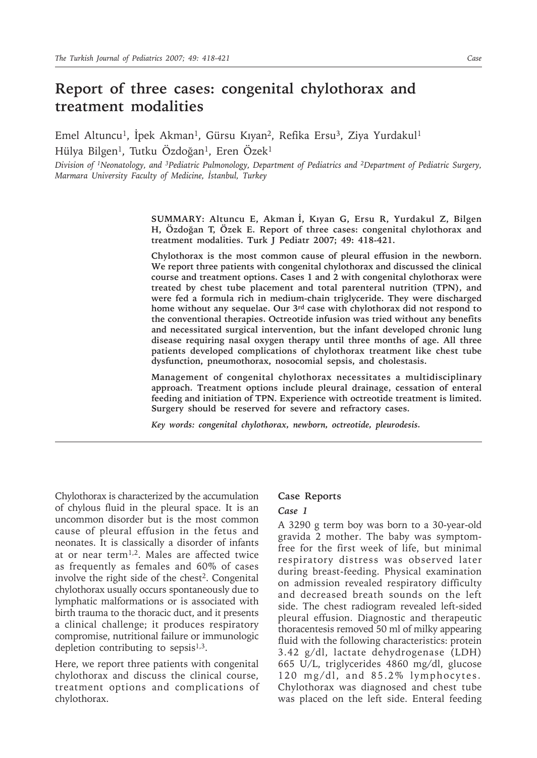# **Report of three cases: congenital chylothorax and treatment modalities**

Emel Altuncu<sup>1</sup>, İpek Akman<sup>1</sup>, Gürsu Kıyan<sup>2</sup>, Refika Ersu<sup>3</sup>, Ziya Yurdakul<sup>1</sup> Hülya Bilgen<sup>1</sup>, Tutku Özdoğan<sup>1</sup>, Eren Özek<sup>1</sup>

*Division of 1Neonatology, and 3Pediatric Pulmonology, Department of Pediatrics and 2Department of Pediatric Surgery, Marmara University Faculty of Medicine, İstanbul, Turkey*

> **SUMMARY: Altuncu E, Akman İ, Kıyan G, Ersu R, Yurdakul Z, Bilgen H, Özdoğan T, Özek E. Report of three cases: congenital chylothorax and treatment modalities. Turk J Pediatr 2007; 49: 418-421.**

> **Chylothorax is the most common cause of pleural effusion in the newborn. We report three patients with congenital chylothorax and discussed the clinical course and treatment options. Cases 1 and 2 with congenital chylothorax were treated by chest tube placement and total parenteral nutrition (TPN), and were fed a formula rich in medium-chain triglyceride. They were discharged home without any sequelae. Our 3rd case with chylothorax did not respond to the conventional therapies. Octreotide infusion was tried without any benefits and necessitated surgical intervention, but the infant developed chronic lung disease requiring nasal oxygen therapy until three months of age. All three patients developed complications of chylothorax treatment like chest tube dysfunction, pneumothorax, nosocomial sepsis, and cholestasis.**

> **Management of congenital chylothorax necessitates a multidisciplinary approach. Treatment options include pleural drainage, cessation of enteral feeding and initiation of TPN. Experience with octreotide treatment is limited. Surgery should be reserved for severe and refractory cases.**

*Key words: congenital chylothorax, newborn, octreotide, pleurodesis.*

Chylothorax is characterized by the accumulation of chylous fluid in the pleural space. It is an uncommon disorder but is the most common cause of pleural effusion in the fetus and neonates. It is classically a disorder of infants at or near term1,2. Males are affected twice as frequently as females and 60% of cases involve the right side of the chest<sup>2</sup>. Congenital chylothorax usually occurs spontaneously due to lymphatic malformations or is associated with birth trauma to the thoracic duct, and it presents a clinical challenge; it produces respiratory compromise, nutritional failure or immunologic depletion contributing to sepsis $1,3$ .

Here, we report three patients with congenital chylothorax and discuss the clinical course, treatment options and complications of chylothorax.

#### **Case Reports**

### *Case 1*

A 3290 g term boy was born to a 30-year-old gravida 2 mother. The baby was symptomfree for the first week of life, but minimal respiratory distress was observed later during breast-feeding. Physical examination on admission revealed respiratory difficulty and decreased breath sounds on the left side. The chest radiogram revealed left-sided pleural effusion. Diagnostic and therapeutic thoracentesis removed 50 ml of milky appearing fluid with the following characteristics: protein 3.42 g/dl, lactate dehydrogenase (LDH) 665 U/L, triglycerides 4860 mg/dl, glucose 120 mg/dl, and 85.2% lymphocytes. Chylothorax was diagnosed and chest tube was placed on the left side. Enteral feeding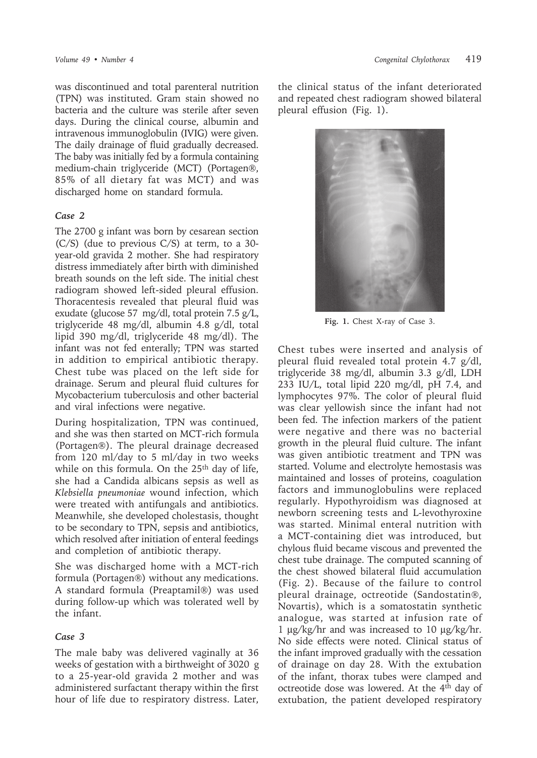was discontinued and total parenteral nutrition (TPN) was instituted. Gram stain showed no bacteria and the culture was sterile after seven days. During the clinical course, albumin and intravenous immunoglobulin (IVIG) were given. The daily drainage of fluid gradually decreased. The baby was initially fed by a formula containing medium-chain triglyceride (MCT) (Portagen®, 85% of all dietary fat was MCT) and was discharged home on standard formula.

#### *Case 2*

The 2700 g infant was born by cesarean section (C/S) (due to previous C/S) at term, to a 30 year-old gravida 2 mother. She had respiratory distress immediately after birth with diminished breath sounds on the left side. The initial chest radiogram showed left-sided pleural effusion. Thoracentesis revealed that pleural fluid was exudate (glucose 57 mg/dl, total protein 7.5 g/L, triglyceride 48 mg/dl, albumin 4.8 g/dl, total lipid 390 mg/dl, triglyceride 48 mg/dl). The infant was not fed enterally; TPN was started in addition to empirical antibiotic therapy. Chest tube was placed on the left side for drainage. Serum and pleural fluid cultures for Mycobacterium tuberculosis and other bacterial and viral infections were negative.

During hospitalization, TPN was continued, and she was then started on MCT-rich formula (Portagen®). The pleural drainage decreased from 120 ml/day to 5 ml/day in two weeks while on this formula. On the 25<sup>th</sup> day of life, she had a Candida albicans sepsis as well as *Klebsiella pneumoniae* wound infection, which were treated with antifungals and antibiotics. Meanwhile, she developed cholestasis, thought to be secondary to TPN, sepsis and antibiotics, which resolved after initiation of enteral feedings and completion of antibiotic therapy.

She was discharged home with a MCT-rich formula (Portagen®) without any medications. A standard formula (Preaptamil®) was used during follow-up which was tolerated well by the infant.

#### *Case 3*

The male baby was delivered vaginally at 36 weeks of gestation with a birthweight of 3020 g to a 25-year-old gravida 2 mother and was administered surfactant therapy within the first hour of life due to respiratory distress. Later,

the clinical status of the infant deteriorated and repeated chest radiogram showed bilateral pleural effusion (Fig. 1).



**Fig. 1.** Chest X-ray of Case 3.

Chest tubes were inserted and analysis of pleural fluid revealed total protein 4.7 g/dl, triglyceride 38 mg/dl, albumin 3.3 g/dl, LDH 233 IU/L, total lipid 220 mg/dl, pH 7.4, and lymphocytes 97%. The color of pleural fluid was clear yellowish since the infant had not been fed. The infection markers of the patient were negative and there was no bacterial growth in the pleural fluid culture. The infant was given antibiotic treatment and TPN was started. Volume and electrolyte hemostasis was maintained and losses of proteins, coagulation factors and immunoglobulins were replaced regularly. Hypothyroidism was diagnosed at newborn screening tests and L-levothyroxine was started. Minimal enteral nutrition with a MCT-containing diet was introduced, but chylous fluid became viscous and prevented the chest tube drainage. The computed scanning of the chest showed bilateral fluid accumulation (Fig. 2). Because of the failure to control pleural drainage, octreotide (Sandostatin®, Novartis), which is a somatostatin synthetic analogue, was started at infusion rate of 1 µg/kg/hr and was increased to 10 µg/kg/hr. No side effects were noted. Clinical status of the infant improved gradually with the cessation of drainage on day 28. With the extubation of the infant, thorax tubes were clamped and octreotide dose was lowered. At the 4th day of extubation, the patient developed respiratory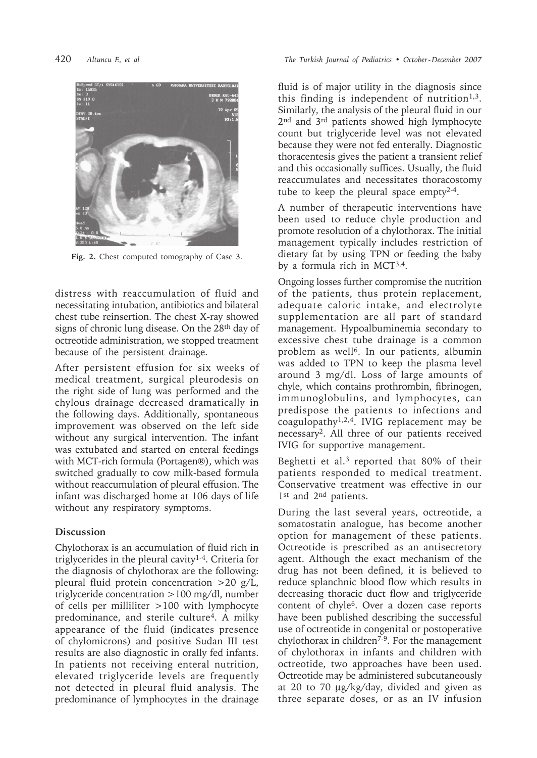

**Fig. 2.** Chest computed tomography of Case 3.

distress with reaccumulation of fluid and necessitating intubation, antibiotics and bilateral chest tube reinsertion. The chest X-ray showed signs of chronic lung disease. On the 28th day of octreotide administration, we stopped treatment because of the persistent drainage.

After persistent effusion for six weeks of medical treatment, surgical pleurodesis on the right side of lung was performed and the chylous drainage decreased dramatically in the following days. Additionally, spontaneous improvement was observed on the left side without any surgical intervention. The infant was extubated and started on enteral feedings with MCT-rich formula (Portagen®), which was switched gradually to cow milk-based formula without reaccumulation of pleural effusion. The infant was discharged home at 106 days of life without any respiratory symptoms.

## **Discussion**

Chylothorax is an accumulation of fluid rich in triglycerides in the pleural cavity<sup>1-4</sup>. Criteria for the diagnosis of chylothorax are the following: pleural fluid protein concentration >20 g/L, triglyceride concentration >100 mg/dl, number of cells per milliliter >100 with lymphocyte predominance, and sterile culture<sup>4</sup>. A milky appearance of the fluid (indicates presence of chylomicrons) and positive Sudan III test results are also diagnostic in orally fed infants. In patients not receiving enteral nutrition, elevated triglyceride levels are frequently not detected in pleural fluid analysis. The predominance of lymphocytes in the drainage

fluid is of major utility in the diagnosis since this finding is independent of nutrition<sup> $1,3$ </sup>. Similarly, the analysis of the pleural fluid in our 2<sup>nd</sup> and 3<sup>rd</sup> patients showed high lymphocyte count but triglyceride level was not elevated because they were not fed enterally. Diagnostic thoracentesis gives the patient a transient relief and this occasionally suffices. Usually, the fluid reaccumulates and necessitates thoracostomy tube to keep the pleural space empty2-4.

A number of therapeutic interventions have been used to reduce chyle production and promote resolution of a chylothorax. The initial management typically includes restriction of dietary fat by using TPN or feeding the baby by a formula rich in MCT3,4.

Ongoing losses further compromise the nutrition of the patients, thus protein replacement, adequate caloric intake, and electrolyte supplementation are all part of standard management. Hypoalbuminemia secondary to excessive chest tube drainage is a common problem as well<sup>6</sup>. In our patients, albumin was added to TPN to keep the plasma level around 3 mg/dl. Loss of large amounts of chyle, which contains prothrombin, fibrinogen, immunoglobulins, and lymphocytes, can predispose the patients to infections and coagulopathy<sup>1,2,4</sup>. IVIG replacement may be necessary2. All three of our patients received IVIG for supportive management.

Beghetti et al.3 reported that 80% of their patients responded to medical treatment. Conservative treatment was effective in our 1st and 2<sup>nd</sup> patients.

During the last several years, octreotide, a somatostatin analogue, has become another option for management of these patients. Octreotide is prescribed as an antisecretory agent. Although the exact mechanism of the drug has not been defined, it is believed to reduce splanchnic blood flow which results in decreasing thoracic duct flow and triglyceride content of chyle6. Over a dozen case reports have been published describing the successful use of octreotide in congenital or postoperative chylothorax in children7-9. For the management of chylothorax in infants and children with octreotide, two approaches have been used. Octreotide may be administered subcutaneously at 20 to 70 µg/kg/day, divided and given as three separate doses, or as an IV infusion